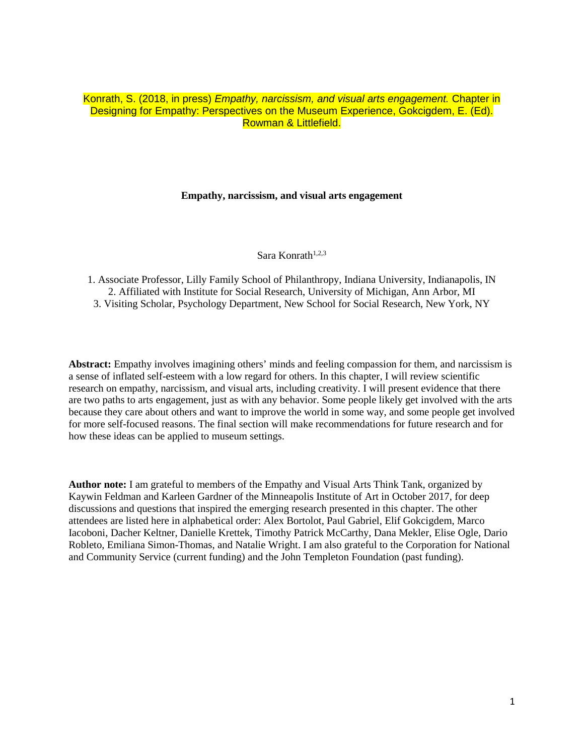## Konrath, S. (2018, in press) *Empathy, narcissism, and visual arts engagement.* Chapter in Designing for Empathy: Perspectives on the Museum Experience, Gokcigdem, E. (Ed). Rowman & Littlefield.

## **Empathy, narcissism, and visual arts engagement**

Sara Konrath $1,2,3$ 

1. Associate Professor, Lilly Family School of Philanthropy, Indiana University, Indianapolis, IN 2. Affiliated with Institute for Social Research, University of Michigan, Ann Arbor, MI 3. Visiting Scholar, Psychology Department, New School for Social Research, New York, NY

**Abstract:** Empathy involves imagining others' minds and feeling compassion for them, and narcissism is a sense of inflated self-esteem with a low regard for others. In this chapter, I will review scientific research on empathy, narcissism, and visual arts, including creativity. I will present evidence that there are two paths to arts engagement, just as with any behavior. Some people likely get involved with the arts because they care about others and want to improve the world in some way, and some people get involved for more self-focused reasons. The final section will make recommendations for future research and for how these ideas can be applied to museum settings.

**Author note:** I am grateful to members of the Empathy and Visual Arts Think Tank, organized by Kaywin Feldman and Karleen Gardner of the Minneapolis Institute of Art in October 2017, for deep discussions and questions that inspired the emerging research presented in this chapter. The other attendees are listed here in alphabetical order: Alex Bortolot, Paul Gabriel, Elif Gokcigdem, Marco Iacoboni, Dacher Keltner, Danielle Krettek, Timothy Patrick McCarthy, Dana Mekler, Elise Ogle, Dario Robleto, Emiliana Simon-Thomas, and Natalie Wright. I am also grateful to the Corporation for National and Community Service (current funding) and the John Templeton Foundation (past funding).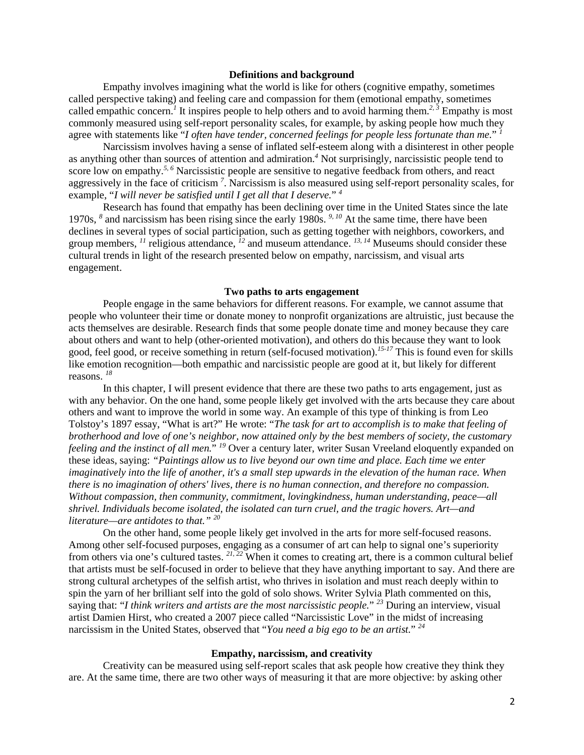## **Definitions and background**

Empathy involves imagining what the world is like for others (cognitive empathy, sometimes called perspective taking) and feeling care and compassion for them (emotional empathy, sometimes called empathic concern.<sup>1</sup> It inspires people to help others and to avoid harming them.<sup>2, 3</sup> Empathy is most commonly measured using self-report personality scales, for example, by asking people how much they agree with statements like "*I often have tender, concerned feelings for people less fortunate than me.*" *<sup>1</sup>*

Narcissism involves having a sense of inflated self-esteem along with a disinterest in other people as anything other than sources of attention and admiration. *<sup>4</sup>* Not surprisingly, narcissistic people tend to score low on empathy.<sup>5, 6</sup> Narcissistic people are sensitive to negative feedback from others, and react aggressively in the face of criticism *<sup>7</sup>* . Narcissism is also measured using self-report personality scales, for example, "*I will never be satisfied until I get all that I deserve.*" *<sup>4</sup>*

Research has found that empathy has been declining over time in the United States since the late 1970s, *<sup>8</sup>* and narcissism has been rising since the early 1980s. *9, 10* At the same time, there have been declines in several types of social participation, such as getting together with neighbors, coworkers, and group members, <sup>11</sup> religious attendance, <sup>12</sup> and museum attendance. <sup>13, 14</sup> Museums should consider these cultural trends in light of the research presented below on empathy, narcissism, and visual arts engagement.

#### **Two paths to arts engagement**

People engage in the same behaviors for different reasons. For example, we cannot assume that people who volunteer their time or donate money to nonprofit organizations are altruistic, just because the acts themselves are desirable. Research finds that some people donate time and money because they care about others and want to help (other-oriented motivation), and others do this because they want to look good, feel good, or receive something in return (self-focused motivation). *15-17* This is found even for skills like emotion recognition—both empathic and narcissistic people are good at it, but likely for different reasons. *<sup>18</sup>*

In this chapter, I will present evidence that there are these two paths to arts engagement, just as with any behavior. On the one hand, some people likely get involved with the arts because they care about others and want to improve the world in some way. An example of this type of thinking is from Leo Tolstoy's 1897 essay, "What is art?" He wrote: "*The task for art to accomplish is to make that feeling of brotherhood and love of one's neighbor, now attained only by the best members of society, the customary feeling and the instinct of all men.*" *<sup>19</sup>* Over a century later, writer Susan Vreeland eloquently expanded on these ideas, saying: *"Paintings allow us to live beyond our own time and place. Each time we enter imaginatively into the life of another, it's a small step upwards in the elevation of the human race. When there is no imagination of others' lives, there is no human connection, and therefore no compassion. Without compassion, then community, commitment, lovingkindness, human understanding, peace—all shrivel. Individuals become isolated, the isolated can turn cruel, and the tragic hovers. Art—and literature—are antidotes to that." <sup>20</sup>*

On the other hand, some people likely get involved in the arts for more self-focused reasons. Among other self-focused purposes, engaging as a consumer of art can help to signal one's superiority from others via one's cultured tastes. <sup>21, 22</sup> When it comes to creating art, there is a common cultural belief that artists must be self-focused in order to believe that they have anything important to say. And there are strong cultural archetypes of the selfish artist, who thrives in isolation and must reach deeply within to spin the yarn of her brilliant self into the gold of solo shows. Writer Sylvia Plath commented on this, saying that: "*I think writers and artists are the most narcissistic people.*" *<sup>23</sup>* During an interview, visual artist Damien Hirst, who created a 2007 piece called "Narcissistic Love" in the midst of increasing narcissism in the United States, observed that "*You need a big ego to be an artist.*" *<sup>24</sup>*

#### **Empathy, narcissism, and creativity**

Creativity can be measured using self-report scales that ask people how creative they think they are. At the same time, there are two other ways of measuring it that are more objective: by asking other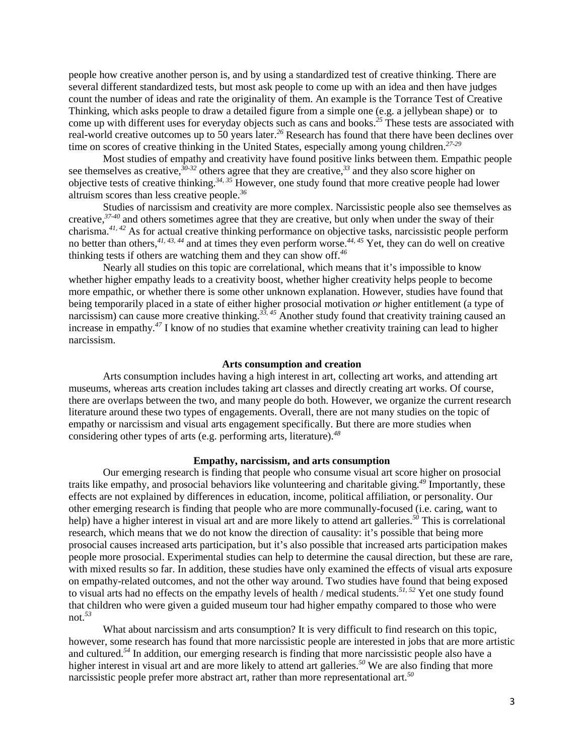people how creative another person is, and by using a standardized test of creative thinking. There are several different standardized tests, but most ask people to come up with an idea and then have judges count the number of ideas and rate the originality of them. An example is the Torrance Test of Creative Thinking, which asks people to draw a detailed figure from a simple one (e.g. a jellybean shape) or to come up with different uses for everyday objects such as cans and books. *<sup>25</sup>* These tests are associated with real-world creative outcomes up to 50 years later. *<sup>26</sup>* Research has found that there have been declines over time on scores of creative thinking in the United States, especially among young children. *27-29*

Most studies of empathy and creativity have found positive links between them. Empathic people see themselves as creative, *30-32* others agree that they are creative, *<sup>33</sup>* and they also score higher on objective tests of creative thinking. *34, 35* However, one study found that more creative people had lower altruism scores than less creative people. *36*

Studies of narcissism and creativity are more complex. Narcissistic people also see themselves as creative, *37-40* and others sometimes agree that they are creative, but only when under the sway of their charisma. *41, 42* As for actual creative thinking performance on objective tasks, narcissistic people perform no better than others, <sup>41, 43, 44</sup> and at times they even perform worse.<sup>44, 45</sup> Yet, they can do well on creative thinking tests if others are watching them and they can show off. *46*

Nearly all studies on this topic are correlational, which means that it's impossible to know whether higher empathy leads to a creativity boost, whether higher creativity helps people to become more empathic, or whether there is some other unknown explanation. However, studies have found that being temporarily placed in a state of either higher prosocial motivation *or* higher entitlement (a type of narcissism) can cause more creative thinking.<sup>33, 45</sup> Another study found that creativity training caused an increase in empathy. *<sup>47</sup>* I know of no studies that examine whether creativity training can lead to higher narcissism.

#### **Arts consumption and creation**

Arts consumption includes having a high interest in art, collecting art works, and attending art museums, whereas arts creation includes taking art classes and directly creating art works. Of course, there are overlaps between the two, and many people do both. However, we organize the current research literature around these two types of engagements. Overall, there are not many studies on the topic of empathy or narcissism and visual arts engagement specifically. But there are more studies when considering other types of arts (e.g. performing arts, literature).*<sup>48</sup>*

#### **Empathy, narcissism, and arts consumption**

Our emerging research is finding that people who consume visual art score higher on prosocial traits like empathy, and prosocial behaviors like volunteering and charitable giving. *<sup>49</sup>* Importantly, these effects are not explained by differences in education, income, political affiliation, or personality. Our other emerging research is finding that people who are more communally-focused (i.e. caring, want to help) have a higher interest in visual art and are more likely to attend art galleries. *<sup>50</sup>* This is correlational research, which means that we do not know the direction of causality: it's possible that being more prosocial causes increased arts participation, but it's also possible that increased arts participation makes people more prosocial. Experimental studies can help to determine the causal direction, but these are rare, with mixed results so far. In addition, these studies have only examined the effects of visual arts exposure on empathy-related outcomes, and not the other way around. Two studies have found that being exposed to visual arts had no effects on the empathy levels of health / medical students. *51, 52* Yet one study found that children who were given a guided museum tour had higher empathy compared to those who were not. *53*

What about narcissism and arts consumption? It is very difficult to find research on this topic, however, some research has found that more narcissistic people are interested in jobs that are more artistic and cultured. *<sup>54</sup>* In addition, our emerging research is finding that more narcissistic people also have a higher interest in visual art and are more likely to attend art galleries. *<sup>50</sup>* We are also finding that more narcissistic people prefer more abstract art, rather than more representational art. *50*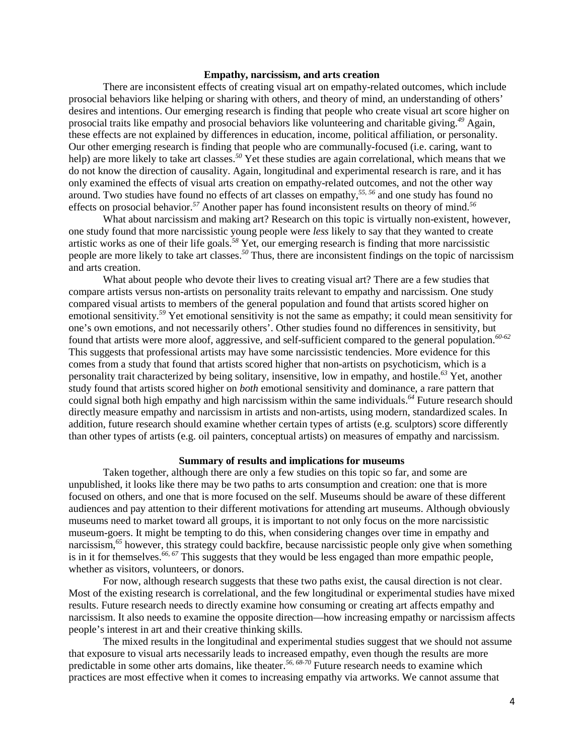## **Empathy, narcissism, and arts creation**

There are inconsistent effects of creating visual art on empathy-related outcomes, which include prosocial behaviors like helping or sharing with others, and theory of mind, an understanding of others' desires and intentions. Our emerging research is finding that people who create visual art score higher on prosocial traits like empathy and prosocial behaviors like volunteering and charitable giving. *<sup>49</sup>* Again, these effects are not explained by differences in education, income, political affiliation, or personality. Our other emerging research is finding that people who are communally-focused (i.e. caring, want to help) are more likely to take art classes. *<sup>50</sup>* Yet these studies are again correlational, which means that we do not know the direction of causality. Again, longitudinal and experimental research is rare, and it has only examined the effects of visual arts creation on empathy-related outcomes, and not the other way around. Two studies have found no effects of art classes on empathy, *55, 56* and one study has found no effects on prosocial behavior. *<sup>57</sup>* Another paper has found inconsistent results on theory of mind. *56*

What about narcissism and making art? Research on this topic is virtually non-existent, however, one study found that more narcissistic young people were *less* likely to say that they wanted to create artistic works as one of their life goals. *<sup>58</sup>* Yet, our emerging research is finding that more narcissistic people are more likely to take art classes. *<sup>50</sup>* Thus, there are inconsistent findings on the topic of narcissism and arts creation.

What about people who devote their lives to creating visual art? There are a few studies that compare artists versus non-artists on personality traits relevant to empathy and narcissism. One study compared visual artists to members of the general population and found that artists scored higher on emotional sensitivity. *<sup>59</sup>* Yet emotional sensitivity is not the same as empathy; it could mean sensitivity for one's own emotions, and not necessarily others'. Other studies found no differences in sensitivity, but found that artists were more aloof, aggressive, and self-sufficient compared to the general population. *60-62* This suggests that professional artists may have some narcissistic tendencies. More evidence for this comes from a study that found that artists scored higher that non-artists on psychoticism, which is a personality trait characterized by being solitary, insensitive, low in empathy, and hostile. *<sup>63</sup>* Yet, another study found that artists scored higher on *both* emotional sensitivity and dominance, a rare pattern that could signal both high empathy and high narcissism within the same individuals. *<sup>64</sup>* Future research should directly measure empathy and narcissism in artists and non-artists, using modern, standardized scales. In addition, future research should examine whether certain types of artists (e.g. sculptors) score differently than other types of artists (e.g. oil painters, conceptual artists) on measures of empathy and narcissism.

#### **Summary of results and implications for museums**

Taken together, although there are only a few studies on this topic so far, and some are unpublished, it looks like there may be two paths to arts consumption and creation: one that is more focused on others, and one that is more focused on the self. Museums should be aware of these different audiences and pay attention to their different motivations for attending art museums. Although obviously museums need to market toward all groups, it is important to not only focus on the more narcissistic museum-goers. It might be tempting to do this, when considering changes over time in empathy and narcissism, *<sup>65</sup>* however, this strategy could backfire, because narcissistic people only give when something is in it for themselves. *66, 67* This suggests that they would be less engaged than more empathic people, whether as visitors, volunteers, or donors.

For now, although research suggests that these two paths exist, the causal direction is not clear. Most of the existing research is correlational, and the few longitudinal or experimental studies have mixed results. Future research needs to directly examine how consuming or creating art affects empathy and narcissism. It also needs to examine the opposite direction—how increasing empathy or narcissism affects people's interest in art and their creative thinking skills.

The mixed results in the longitudinal and experimental studies suggest that we should not assume that exposure to visual arts necessarily leads to increased empathy, even though the results are more predictable in some other arts domains, like theater. *56, 68-70* Future research needs to examine which practices are most effective when it comes to increasing empathy via artworks. We cannot assume that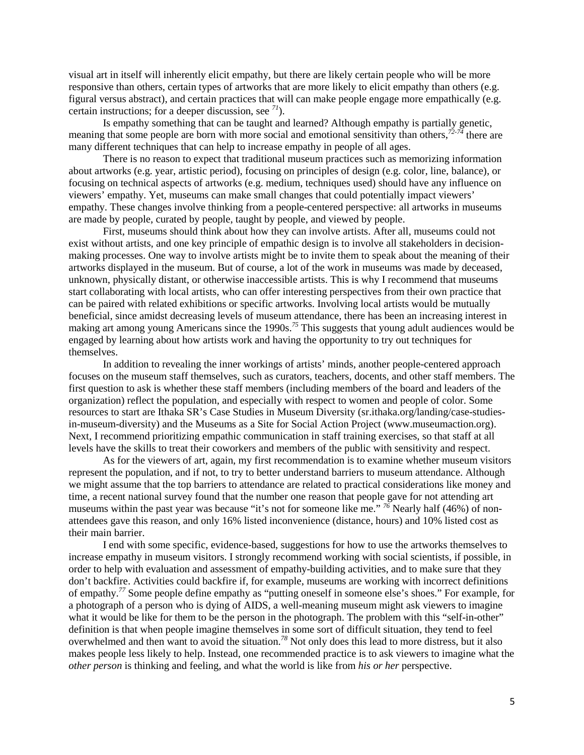visual art in itself will inherently elicit empathy, but there are likely certain people who will be more responsive than others, certain types of artworks that are more likely to elicit empathy than others (e.g. figural versus abstract), and certain practices that will can make people engage more empathically (e.g. certain instructions; for a deeper discussion, see *<sup>71</sup>*).

Is empathy something that can be taught and learned? Although empathy is partially genetic, meaning that some people are born with more social and emotional sensitivity than others, *72-74* there are many different techniques that can help to increase empathy in people of all ages.

There is no reason to expect that traditional museum practices such as memorizing information about artworks (e.g. year, artistic period), focusing on principles of design (e.g. color, line, balance), or focusing on technical aspects of artworks (e.g. medium, techniques used) should have any influence on viewers' empathy. Yet, museums can make small changes that could potentially impact viewers' empathy. These changes involve thinking from a people-centered perspective: all artworks in museums are made by people, curated by people, taught by people, and viewed by people.

First, museums should think about how they can involve artists. After all, museums could not exist without artists, and one key principle of empathic design is to involve all stakeholders in decisionmaking processes. One way to involve artists might be to invite them to speak about the meaning of their artworks displayed in the museum. But of course, a lot of the work in museums was made by deceased, unknown, physically distant, or otherwise inaccessible artists. This is why I recommend that museums start collaborating with local artists, who can offer interesting perspectives from their own practice that can be paired with related exhibitions or specific artworks. Involving local artists would be mutually beneficial, since amidst decreasing levels of museum attendance, there has been an increasing interest in making art among young Americans since the 1990s. *<sup>75</sup>* This suggests that young adult audiences would be engaged by learning about how artists work and having the opportunity to try out techniques for themselves.

In addition to revealing the inner workings of artists' minds, another people-centered approach focuses on the museum staff themselves, such as curators, teachers, docents, and other staff members. The first question to ask is whether these staff members (including members of the board and leaders of the organization) reflect the population, and especially with respect to women and people of color. Some resources to start are Ithaka SR's Case Studies in Museum Diversity (sr.ithaka.org/landing/case-studiesin-museum-diversity) and the Museums as a Site for Social Action Project (www.museumaction.org). Next, I recommend prioritizing empathic communication in staff training exercises, so that staff at all levels have the skills to treat their coworkers and members of the public with sensitivity and respect.

As for the viewers of art, again, my first recommendation is to examine whether museum visitors represent the population, and if not, to try to better understand barriers to museum attendance. Although we might assume that the top barriers to attendance are related to practical considerations like money and time, a recent national survey found that the number one reason that people gave for not attending art museums within the past year was because "it's not for someone like me." <sup>76</sup> Nearly half (46%) of nonattendees gave this reason, and only 16% listed inconvenience (distance, hours) and 10% listed cost as their main barrier.

I end with some specific, evidence-based, suggestions for how to use the artworks themselves to increase empathy in museum visitors. I strongly recommend working with social scientists, if possible, in order to help with evaluation and assessment of empathy-building activities, and to make sure that they don't backfire. Activities could backfire if, for example, museums are working with incorrect definitions of empathy. *<sup>77</sup>* Some people define empathy as "putting oneself in someone else's shoes." For example, for a photograph of a person who is dying of AIDS, a well-meaning museum might ask viewers to imagine what it would be like for them to be the person in the photograph. The problem with this "self-in-other" definition is that when people imagine themselves in some sort of difficult situation, they tend to feel overwhelmed and then want to avoid the situation. *<sup>78</sup>* Not only does this lead to more distress, but it also makes people less likely to help. Instead, one recommended practice is to ask viewers to imagine what the *other person* is thinking and feeling, and what the world is like from *his or her* perspective.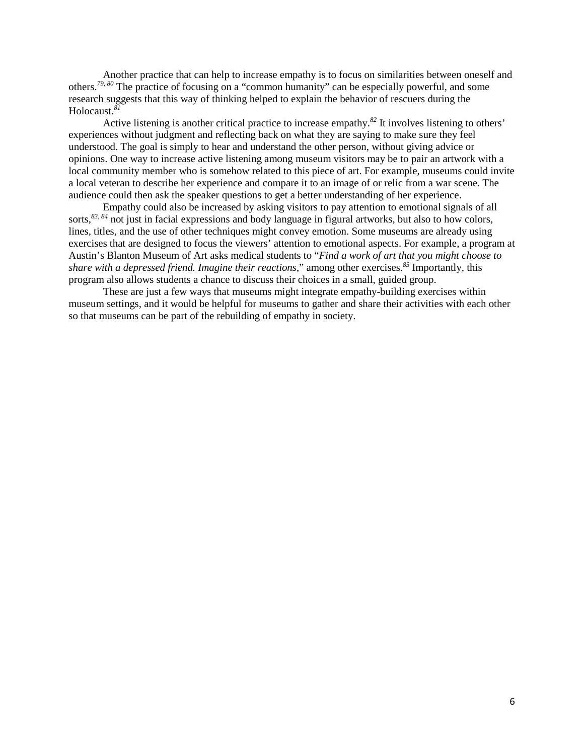Another practice that can help to increase empathy is to focus on similarities between oneself and others. *79, 80* The practice of focusing on a "common humanity" can be especially powerful, and some research suggests that this way of thinking helped to explain the behavior of rescuers during the Holocaust. *81*

Active listening is another critical practice to increase empathy. *<sup>82</sup>* It involves listening to others' experiences without judgment and reflecting back on what they are saying to make sure they feel understood. The goal is simply to hear and understand the other person, without giving advice or opinions. One way to increase active listening among museum visitors may be to pair an artwork with a local community member who is somehow related to this piece of art. For example, museums could invite a local veteran to describe her experience and compare it to an image of or relic from a war scene. The audience could then ask the speaker questions to get a better understanding of her experience.

Empathy could also be increased by asking visitors to pay attention to emotional signals of all sorts,<sup>83, 84</sup> not just in facial expressions and body language in figural artworks, but also to how colors, lines, titles, and the use of other techniques might convey emotion. Some museums are already using exercises that are designed to focus the viewers' attention to emotional aspects. For example, a program at Austin's Blanton Museum of Art asks medical students to "*Find a work of art that you might choose to share with a depressed friend. Imagine their reactions,*" among other exercises. *<sup>85</sup>* Importantly, this program also allows students a chance to discuss their choices in a small, guided group.

These are just a few ways that museums might integrate empathy-building exercises within museum settings, and it would be helpful for museums to gather and share their activities with each other so that museums can be part of the rebuilding of empathy in society.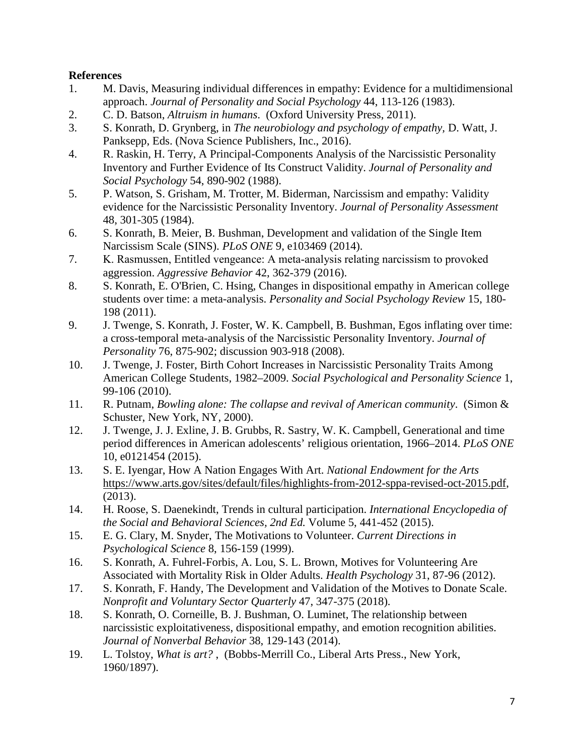# **References**

- 1. M. Davis, Measuring individual differences in empathy: Evidence for a multidimensional approach. *Journal of Personality and Social Psychology* 44, 113-126 (1983).
- 2. C. D. Batson, *Altruism in humans*. (Oxford University Press, 2011).
- 3. S. Konrath, D. Grynberg, in *The neurobiology and psychology of empathy,* D. Watt, J. Panksepp, Eds. (Nova Science Publishers, Inc., 2016).
- 4. R. Raskin, H. Terry, A Principal-Components Analysis of the Narcissistic Personality Inventory and Further Evidence of Its Construct Validity. *Journal of Personality and Social Psychology* 54, 890-902 (1988).
- 5. P. Watson, S. Grisham, M. Trotter, M. Biderman, Narcissism and empathy: Validity evidence for the Narcissistic Personality Inventory. *Journal of Personality Assessment* 48, 301-305 (1984).
- 6. S. Konrath, B. Meier, B. Bushman, Development and validation of the Single Item Narcissism Scale (SINS). *PLoS ONE* 9, e103469 (2014).
- 7. K. Rasmussen, Entitled vengeance: A meta‐analysis relating narcissism to provoked aggression. *Aggressive Behavior* 42, 362-379 (2016).
- 8. S. Konrath, E. O'Brien, C. Hsing, Changes in dispositional empathy in American college students over time: a meta-analysis. *Personality and Social Psychology Review* 15, 180- 198 (2011).
- 9. J. Twenge, S. Konrath, J. Foster, W. K. Campbell, B. Bushman, Egos inflating over time: a cross-temporal meta-analysis of the Narcissistic Personality Inventory. *Journal of Personality* 76, 875-902; discussion 903-918 (2008).
- 10. J. Twenge, J. Foster, Birth Cohort Increases in Narcissistic Personality Traits Among American College Students, 1982–2009. *Social Psychological and Personality Science* 1, 99-106 (2010).
- 11. R. Putnam, *Bowling alone: The collapse and revival of American community*. (Simon & Schuster, New York, NY, 2000).
- 12. J. Twenge, J. J. Exline, J. B. Grubbs, R. Sastry, W. K. Campbell, Generational and time period differences in American adolescents' religious orientation, 1966–2014. *PLoS ONE* 10, e0121454 (2015).
- 13. S. E. Iyengar, How A Nation Engages With Art. *National Endowment for the Arts* [https://www.arts.gov/sites/default/files/highlights-from-2012-sppa-revised-oct-2015.pdf,](https://www.arts.gov/sites/default/files/highlights-from-2012-sppa-revised-oct-2015.pdf) (2013).
- 14. H. Roose, S. Daenekindt, Trends in cultural participation. *International Encyclopedia of the Social and Behavioral Sciences, 2nd Ed.* Volume 5, 441-452 (2015).
- 15. E. G. Clary, M. Snyder, The Motivations to Volunteer. *Current Directions in Psychological Science* 8, 156-159 (1999).
- 16. S. Konrath, A. Fuhrel-Forbis, A. Lou, S. L. Brown, Motives for Volunteering Are Associated with Mortality Risk in Older Adults. *Health Psychology* 31, 87-96 (2012).
- 17. S. Konrath, F. Handy, The Development and Validation of the Motives to Donate Scale. *Nonprofit and Voluntary Sector Quarterly* 47, 347-375 (2018).
- 18. S. Konrath, O. Corneille, B. J. Bushman, O. Luminet, The relationship between narcissistic exploitativeness, dispositional empathy, and emotion recognition abilities. *Journal of Nonverbal Behavior* 38, 129-143 (2014).
- 19. L. Tolstoy, *What is art?* , (Bobbs-Merrill Co., Liberal Arts Press., New York, 1960/1897).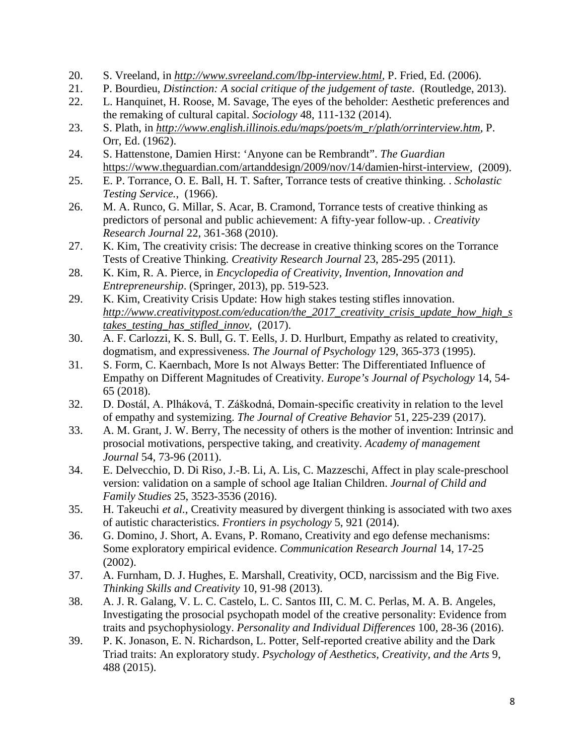- 20. S. Vreeland, in *[http://www.svreeland.com/lbp-interview.html,](http://www.svreeland.com/lbp-interview.html)* P. Fried, Ed. (2006).
- 21. P. Bourdieu, *Distinction: A social critique of the judgement of taste*. (Routledge, 2013).
- 22. L. Hanquinet, H. Roose, M. Savage, The eyes of the beholder: Aesthetic preferences and the remaking of cultural capital. *Sociology* 48, 111-132 (2014).
- 23. S. Plath, in *[http://www.english.illinois.edu/maps/poets/m\\_r/plath/orrinterview.htm,](http://www.english.illinois.edu/maps/poets/m_r/plath/orrinterview.htm)* P. Orr, Ed. (1962).
- 24. S. Hattenstone, Damien Hirst: 'Anyone can be Rembrandt". *The Guardian* [https://www.theguardian.com/artanddesign/2009/nov/14/damien-hirst-interview,](https://www.theguardian.com/artanddesign/2009/nov/14/damien-hirst-interview) (2009).
- 25. E. P. Torrance, O. E. Ball, H. T. Safter, Torrance tests of creative thinking. . *Scholastic Testing Service.*, (1966).
- 26. M. A. Runco, G. Millar, S. Acar, B. Cramond, Torrance tests of creative thinking as predictors of personal and public achievement: A fifty-year follow-up. . *Creativity Research Journal* 22, 361-368 (2010).
- 27. K. Kim, The creativity crisis: The decrease in creative thinking scores on the Torrance Tests of Creative Thinking. *Creativity Research Journal* 23, 285-295 (2011).
- 28. K. Kim, R. A. Pierce, in *Encyclopedia of Creativity, Invention, Innovation and Entrepreneurship*. (Springer, 2013), pp. 519-523.
- 29. K. Kim, Creativity Crisis Update: How high stakes testing stifles innovation. *[http://www.creativitypost.com/education/the\\_2017\\_creativity\\_crisis\\_update\\_how\\_high\\_s](http://www.creativitypost.com/education/the_2017_creativity_crisis_update_how_high_stakes_testing_has_stifled_innov) [takes\\_testing\\_has\\_stifled\\_innov](http://www.creativitypost.com/education/the_2017_creativity_crisis_update_how_high_stakes_testing_has_stifled_innov)*, (2017).
- 30. A. F. Carlozzi, K. S. Bull, G. T. Eells, J. D. Hurlburt, Empathy as related to creativity, dogmatism, and expressiveness. *The Journal of Psychology* 129, 365-373 (1995).
- 31. S. Form, C. Kaernbach, More Is not Always Better: The Differentiated Influence of Empathy on Different Magnitudes of Creativity. *Europe's Journal of Psychology* 14, 54- 65 (2018).
- 32. D. Dostál, A. Plháková, T. Záškodná, Domain‐specific creativity in relation to the level of empathy and systemizing. *The Journal of Creative Behavior* 51, 225-239 (2017).
- 33. A. M. Grant, J. W. Berry, The necessity of others is the mother of invention: Intrinsic and prosocial motivations, perspective taking, and creativity. *Academy of management Journal* 54, 73-96 (2011).
- 34. E. Delvecchio, D. Di Riso, J.-B. Li, A. Lis, C. Mazzeschi, Affect in play scale-preschool version: validation on a sample of school age Italian Children. *Journal of Child and Family Studies* 25, 3523-3536 (2016).
- 35. H. Takeuchi *et al.*, Creativity measured by divergent thinking is associated with two axes of autistic characteristics. *Frontiers in psychology* 5, 921 (2014).
- 36. G. Domino, J. Short, A. Evans, P. Romano, Creativity and ego defense mechanisms: Some exploratory empirical evidence. *Communication Research Journal* 14, 17-25 (2002).
- 37. A. Furnham, D. J. Hughes, E. Marshall, Creativity, OCD, narcissism and the Big Five. *Thinking Skills and Creativity* 10, 91-98 (2013).
- 38. A. J. R. Galang, V. L. C. Castelo, L. C. Santos III, C. M. C. Perlas, M. A. B. Angeles, Investigating the prosocial psychopath model of the creative personality: Evidence from traits and psychophysiology. *Personality and Individual Differences* 100, 28-36 (2016).
- 39. P. K. Jonason, E. N. Richardson, L. Potter, Self-reported creative ability and the Dark Triad traits: An exploratory study. *Psychology of Aesthetics, Creativity, and the Arts* 9, 488 (2015).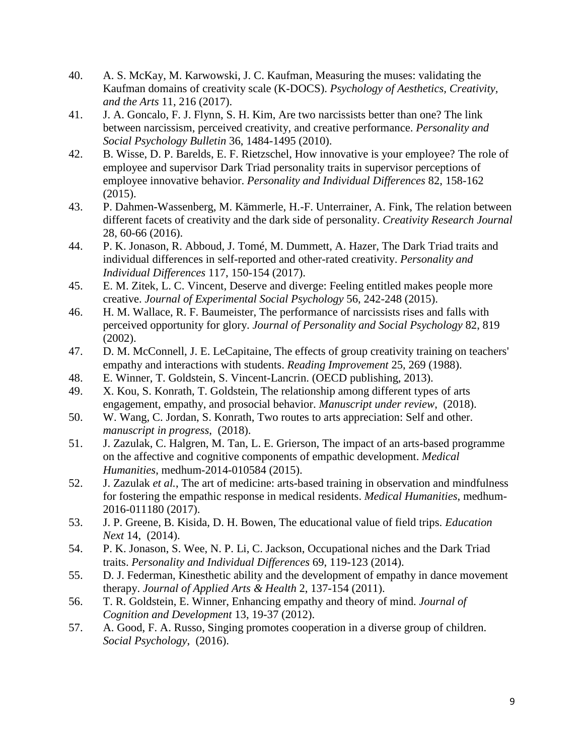- 40. A. S. McKay, M. Karwowski, J. C. Kaufman, Measuring the muses: validating the Kaufman domains of creativity scale (K-DOCS). *Psychology of Aesthetics, Creativity, and the Arts* 11, 216 (2017).
- 41. J. A. Goncalo, F. J. Flynn, S. H. Kim, Are two narcissists better than one? The link between narcissism, perceived creativity, and creative performance. *Personality and Social Psychology Bulletin* 36, 1484-1495 (2010).
- 42. B. Wisse, D. P. Barelds, E. F. Rietzschel, How innovative is your employee? The role of employee and supervisor Dark Triad personality traits in supervisor perceptions of employee innovative behavior. *Personality and Individual Differences* 82, 158-162 (2015).
- 43. P. Dahmen-Wassenberg, M. Kämmerle, H.-F. Unterrainer, A. Fink, The relation between different facets of creativity and the dark side of personality. *Creativity Research Journal* 28, 60-66 (2016).
- 44. P. K. Jonason, R. Abboud, J. Tomé, M. Dummett, A. Hazer, The Dark Triad traits and individual differences in self-reported and other-rated creativity. *Personality and Individual Differences* 117, 150-154 (2017).
- 45. E. M. Zitek, L. C. Vincent, Deserve and diverge: Feeling entitled makes people more creative. *Journal of Experimental Social Psychology* 56, 242-248 (2015).
- 46. H. M. Wallace, R. F. Baumeister, The performance of narcissists rises and falls with perceived opportunity for glory. *Journal of Personality and Social Psychology* 82, 819 (2002).
- 47. D. M. McConnell, J. E. LeCapitaine, The effects of group creativity training on teachers' empathy and interactions with students. *Reading Improvement* 25, 269 (1988).
- 48. E. Winner, T. Goldstein, S. Vincent-Lancrin. (OECD publishing, 2013).
- 49. X. Kou, S. Konrath, T. Goldstein, The relationship among different types of arts engagement, empathy, and prosocial behavior. *Manuscript under review*, (2018).
- 50. W. Wang, C. Jordan, S. Konrath, Two routes to arts appreciation: Self and other. *manuscript in progress*, (2018).
- 51. J. Zazulak, C. Halgren, M. Tan, L. E. Grierson, The impact of an arts-based programme on the affective and cognitive components of empathic development. *Medical Humanities*, medhum-2014-010584 (2015).
- 52. J. Zazulak *et al.*, The art of medicine: arts-based training in observation and mindfulness for fostering the empathic response in medical residents. *Medical Humanities*, medhum-2016-011180 (2017).
- 53. J. P. Greene, B. Kisida, D. H. Bowen, The educational value of field trips. *Education Next* 14, (2014).
- 54. P. K. Jonason, S. Wee, N. P. Li, C. Jackson, Occupational niches and the Dark Triad traits. *Personality and Individual Differences* 69, 119-123 (2014).
- 55. D. J. Federman, Kinesthetic ability and the development of empathy in dance movement therapy. *Journal of Applied Arts & Health* 2, 137-154 (2011).
- 56. T. R. Goldstein, E. Winner, Enhancing empathy and theory of mind. *Journal of Cognition and Development* 13, 19-37 (2012).
- 57. A. Good, F. A. Russo, Singing promotes cooperation in a diverse group of children. *Social Psychology*, (2016).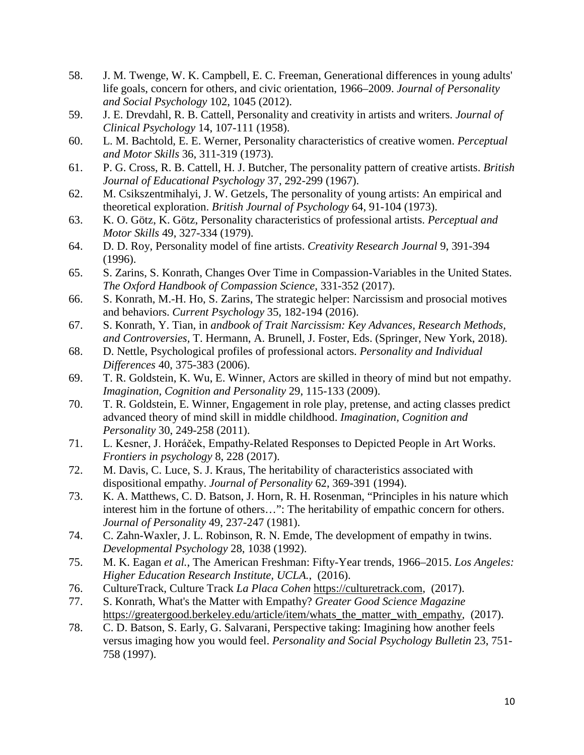- 58. J. M. Twenge, W. K. Campbell, E. C. Freeman, Generational differences in young adults' life goals, concern for others, and civic orientation, 1966–2009. *Journal of Personality and Social Psychology* 102, 1045 (2012).
- 59. J. E. Drevdahl, R. B. Cattell, Personality and creativity in artists and writers. *Journal of Clinical Psychology* 14, 107-111 (1958).
- 60. L. M. Bachtold, E. E. Werner, Personality characteristics of creative women. *Perceptual and Motor Skills* 36, 311-319 (1973).
- 61. P. G. Cross, R. B. Cattell, H. J. Butcher, The personality pattern of creative artists. *British Journal of Educational Psychology* 37, 292-299 (1967).
- 62. M. Csikszentmihalyi, J. W. Getzels, The personality of young artists: An empirical and theoretical exploration. *British Journal of Psychology* 64, 91-104 (1973).
- 63. K. O. Götz, K. Götz, Personality characteristics of professional artists. *Perceptual and Motor Skills* 49, 327-334 (1979).
- 64. D. D. Roy, Personality model of fine artists. *Creativity Research Journal* 9, 391-394 (1996).
- 65. S. Zarins, S. Konrath, Changes Over Time in Compassion-Variables in the United States. *The Oxford Handbook of Compassion Science*, 331-352 (2017).
- 66. S. Konrath, M.-H. Ho, S. Zarins, The strategic helper: Narcissism and prosocial motives and behaviors. *Current Psychology* 35, 182-194 (2016).
- 67. S. Konrath, Y. Tian, in *andbook of Trait Narcissism: Key Advances, Research Methods, and Controversies,* T. Hermann, A. Brunell, J. Foster, Eds. (Springer, New York, 2018).
- 68. D. Nettle, Psychological profiles of professional actors. *Personality and Individual Differences* 40, 375-383 (2006).
- 69. T. R. Goldstein, K. Wu, E. Winner, Actors are skilled in theory of mind but not empathy. *Imagination, Cognition and Personality* 29, 115-133 (2009).
- 70. T. R. Goldstein, E. Winner, Engagement in role play, pretense, and acting classes predict advanced theory of mind skill in middle childhood. *Imagination, Cognition and Personality* 30, 249-258 (2011).
- 71. L. Kesner, J. Horáček, Empathy-Related Responses to Depicted People in Art Works. *Frontiers in psychology* 8, 228 (2017).
- 72. M. Davis, C. Luce, S. J. Kraus, The heritability of characteristics associated with dispositional empathy. *Journal of Personality* 62, 369-391 (1994).
- 73. K. A. Matthews, C. D. Batson, J. Horn, R. H. Rosenman, "Principles in his nature which interest him in the fortune of others…": The heritability of empathic concern for others. *Journal of Personality* 49, 237-247 (1981).
- 74. C. Zahn-Waxler, J. L. Robinson, R. N. Emde, The development of empathy in twins. *Developmental Psychology* 28, 1038 (1992).
- 75. M. K. Eagan *et al.*, The American Freshman: Fifty-Year trends, 1966–2015. *Los Angeles: Higher Education Research Institute, UCLA.*, (2016).
- 76. CultureTrack, Culture Track *La Placa Cohen* [https://culturetrack.com,](https://culturetrack.com/) (2017).
- 77. S. Konrath, What's the Matter with Empathy? *Greater Good Science Magazine* [https://greatergood.berkeley.edu/article/item/whats\\_the\\_matter\\_with\\_empathy,](https://greatergood.berkeley.edu/article/item/whats_the_matter_with_empathy) (2017).
- 78. C. D. Batson, S. Early, G. Salvarani, Perspective taking: Imagining how another feels versus imaging how you would feel. *Personality and Social Psychology Bulletin* 23, 751- 758 (1997).